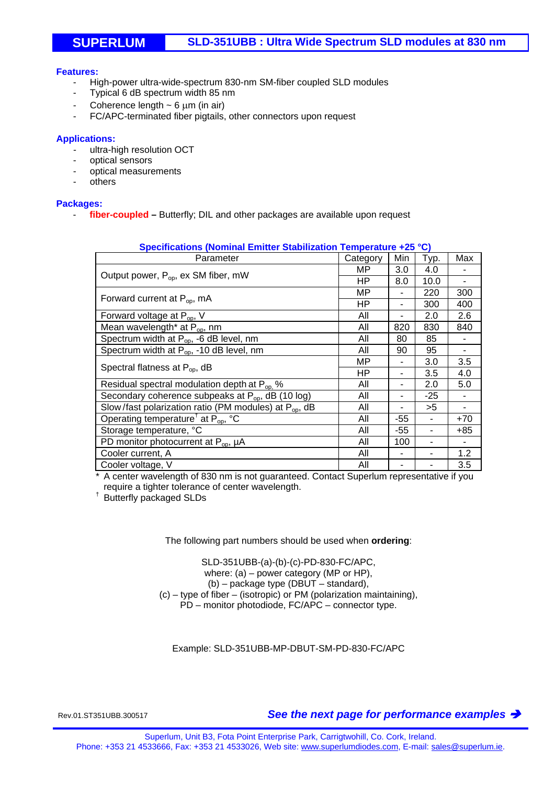## **SUPERLUM SLD-351UBB : Ultra Wide Spectrum SLD modules at 830 nm**

#### **Features:**

- High-power ultra-wide-spectrum 830-nm SM-fiber coupled SLD modules
- Typical 6 dB spectrum width 85 nm
- Coherence length  $\sim$  6  $\mu$ m (in air)
- FC/APC-terminated fiber pigtails, other connectors upon request

#### **Applications:**

- ultra-high resolution OCT
- optical sensors
- optical measurements
- others

#### **Packages:**

- **fiber-coupled –** Butterfly; DIL and other packages are available upon request

| Specifications (Nominal Emitter Stabilization Temperature +25 °C) |          |     |       |       |
|-------------------------------------------------------------------|----------|-----|-------|-------|
| Parameter                                                         | Category | Min | Typ.  | Max   |
| Output power, P <sub>op</sub> , ex SM fiber, mW                   | MP.      | 3.0 | 4.0   |       |
|                                                                   | ΗP       | 8.0 | 10.0  |       |
| Forward current at $P_{op}$ , mA                                  | ΜP       | ۰   | 220   | 300   |
|                                                                   | ΗP       | ۰   | 300   | 400   |
| Forward voltage at $P_{op}$ , V                                   | All      | ۰   | 2.0   | 2.6   |
| Mean wavelength <sup>*</sup> at P <sub>op</sub> , nm              | All      | 820 | 830   | 840   |
| Spectrum width at $P_{op}$ , -6 dB level, nm                      | All      | 80  | 85    |       |
| Spectrum width at $P_{op}$ , -10 dB level, nm                     | All      | 90  | 95    |       |
| Spectral flatness at $P_{op}$ , dB                                | ΜP       | ٠   | 3.0   | 3.5   |
|                                                                   | ΗP       | ۰   | 3.5   | 4.0   |
| Residual spectral modulation depth at P <sub>op.</sub> %          | All      | ۰   | 2.0   | 5.0   |
| Secondary coherence subpeaks at $P_{op}$ , dB (10 log)            | All      |     | $-25$ |       |
| Slow/fast polarization ratio (PM modules) at P <sub>op</sub> , dB | All      |     | >5    |       |
| Operating temperature <sup>†</sup> at $P_{op}$ , °C               | All      | -55 |       | $+70$ |
| Storage temperature, °C                                           | All      | -55 |       | +85   |
| PD monitor photocurrent at $P_{op}$ , $\mu A$                     | All      | 100 |       |       |
| Cooler current, A                                                 | All      |     |       | 1.2   |
| Cooler voltage, V                                                 | All      |     |       | 3.5   |

### **Specifications (Nominal Emitter Stabilization Temperature +25 °C)**

\* A center wavelength of 830 nm is not guaranteed. Contact Superlum representative if you require a tighter tolerance of center wavelength.<br><sup>†</sup> Butterfly packaged SLDs

The following part numbers should be used when **ordering**:

SLD-351UBB-(a)-(b)-(c)-PD-830-FC/APC, where: (a) – power category (MP or HP), (b) – package type (DBUT – standard), (c) – type of fiber – (isotropic) or PM (polarization maintaining), PD – monitor photodiode, FC/APC – connector type.

Example: SLD-351UBB-MP-DBUT-SM-PD-830-FC/APC

Rev.01.ST351UBB.300517 *See the next page for performance examples*